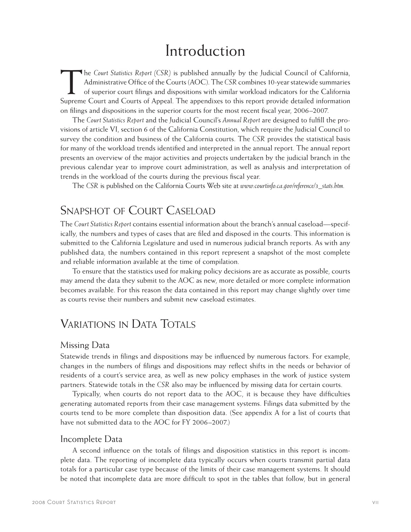# Introduction

The *Court Statistics Report (CSR)* is published annually by the Judicial Council of California, Administrative Office of the Courts (AOC). The *CSR* combines 10-year statewide summaries of superior court filings and dispositions with similar workload indicators for the California Supreme Court and Courts of Appeal. The appendixes to this report provide detailed information on filings and dispositions in the superior courts for the most recent fiscal year, 2006–2007.

The *Court Statistics Report* and the Judicial Council's *Annual Report* are designed to fulfill the provisions of article VI, section 6 of the California Constitution, which require the Judicial Council to survey the condition and business of the California courts. The *CSR* provides the statistical basis for many of the workload trends identified and interpreted in the annual report. The annual report presents an overview of the major activities and projects undertaken by the judicial branch in the previous calendar year to improve court administration, as well as analysis and interpretation of trends in the workload of the courts during the previous fiscal year.

The *CSR* is published on the California Courts Web site at *www.courtinfo.ca.gov/reference/3\_stats.htm.*

## Snapshot of Court Caseload

The *Court Statistics Report* contains essential information about the branch's annual caseload—specifically, the numbers and types of cases that are filed and disposed in the courts. This information is submitted to the California Legislature and used in numerous judicial branch reports. As with any published data, the numbers contained in this report represent a snapshot of the most complete and reliable information available at the time of compilation.

To ensure that the statistics used for making policy decisions are as accurate as possible, courts may amend the data they submit to the AOC as new, more detailed or more complete information becomes available. For this reason the data contained in this report may change slightly over time as courts revise their numbers and submit new caseload estimates.

## VARIATIONS IN DATA TOTALS

#### Missing Data

Statewide trends in filings and dispositions may be influenced by numerous factors. For example, changes in the numbers of filings and dispositions may reflect shifts in the needs or behavior of residents of a court's service area, as well as new policy emphases in the work of justice system partners. Statewide totals in the *CSR* also may be influenced by missing data for certain courts.

Typically, when courts do not report data to the AOC, it is because they have difficulties generating automated reports from their case management systems. Filings data submitted by the courts tend to be more complete than disposition data. (See appendix A for a list of courts that have not submitted data to the AOC for FY 2006–2007.)

#### Incomplete Data

A second influence on the totals of filings and disposition statistics in this report is incomplete data. The reporting of incomplete data typically occurs when courts transmit partial data totals for a particular case type because of the limits of their case management systems. It should be noted that incomplete data are more difficult to spot in the tables that follow, but in general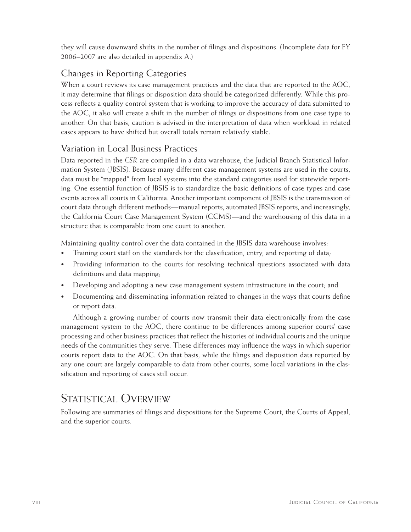they will cause downward shifts in the number of filings and dispositions. (Incomplete data for FY 2006–2007 are also detailed in appendix A.)

### Changes in Reporting Categories

When a court reviews its case management practices and the data that are reported to the AOC, it may determine that filings or disposition data should be categorized differently. While this process reflects a quality control system that is working to improve the accuracy of data submitted to the AOC, it also will create a shift in the number of filings or dispositions from one case type to another. On that basis, caution is advised in the interpretation of data when workload in related cases appears to have shifted but overall totals remain relatively stable.

### Variation in Local Business Practices

Data reported in the *CSR* are compiled in a data warehouse, the Judicial Branch Statistical Information System (JBSIS). Because many different case management systems are used in the courts, data must be "mapped" from local systems into the standard categories used for statewide reporting. One essential function of JBSIS is to standardize the basic definitions of case types and case events across all courts in California. Another important component of JBSIS is the transmission of court data through different methods—manual reports, automated JBSIS reports, and increasingly, the California Court Case Management System (CCMS)—and the warehousing of this data in a structure that is comparable from one court to another.

Maintaining quality control over the data contained in the JBSIS data warehouse involves:

- Training court staff on the standards for the classification, entry, and reporting of data;
- Providing information to the courts for resolving technical questions associated with data definitions and data mapping;
- Developing and adopting a new case management system infrastructure in the court; and
- Documenting and disseminating information related to changes in the ways that courts define or report data.

Although a growing number of courts now transmit their data electronically from the case management system to the AOC, there continue to be differences among superior courts' case processing and other business practices that reflect the histories of individual courts and the unique needs of the communities they serve. These differences may influence the ways in which superior courts report data to the AOC. On that basis, while the filings and disposition data reported by any one court are largely comparable to data from other courts, some local variations in the classification and reporting of cases still occur.

## STATISTICAL OVERVIEW

Following are summaries of filings and dispositions for the Supreme Court, the Courts of Appeal, and the superior courts.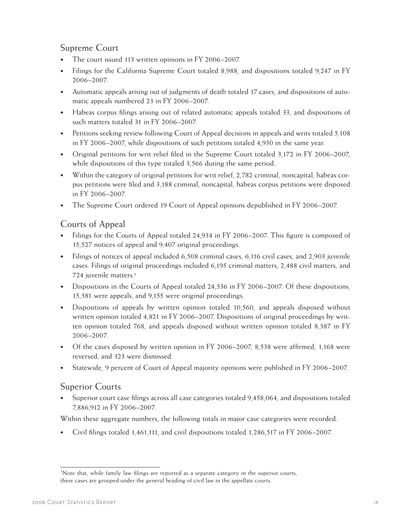#### Supreme Court

- The court issued 113 written opinions in FY 2006–2007.
- Filings for the California Supreme Court totaled 8,988, and dispositions totaled 9,247 in FY 2006–2007.
- • Automatic appeals arising out of judgments of death totaled 17 cases, and dispositions of automatic appeals numbered 23 in FY 2006–2007.
- • Habeas corpus filings arising out of related automatic appeals totaled 33, and dispositions of such matters totaled 31 in FY 2006–2007.
- Petitions seeking review following Court of Appeal decisions in appeals and writs totaled 5,108 in FY 2006–2007, while dispositions of such petitions totaled 4,930 in the same year.
- Original petitions for writ relief filed in the Supreme Court totaled 3,172 in FY 2006–2007, while dispositions of this type totaled 3,566 during the same period.
- Within the category of original petitions for writ relief, 2,782 criminal, noncapital, habeas corpus petitions were filed and 3,188 criminal, noncapital, habeas corpus petitions were disposed in FY 2006–2007.
- The Supreme Court ordered 19 Court of Appeal opinions depublished in FY 2006–2007.

#### Courts of Appeal

- Filings for the Courts of Appeal totaled 24,934 in FY 2006–2007. This figure is composed of 15,527 notices of appeal and 9,407 original proceedings.
- Filings of notices of appeal included 6,508 criminal cases, 6,116 civil cases, and 2,903 juvenile cases. Filings of original proceedings included 6,195 criminal matters, 2,488 civil matters, and 724 juvenile matters.1
- Dispositions in the Courts of Appeal totaled 24,536 in FY 2006–2007. Of these dispositions, 15,381 were appeals, and 9,155 were original proceedings.
- Dispositions of appeals by written opinion totaled 10,560, and appeals disposed without written opinion totaled 4,821 in FY 2006–2007. Dispositions of original proceedings by written opinion totaled 768, and appeals disposed without written opinion totaled 8,387 in FY 2006–2007.
- Of the cases disposed by written opinion in FY 2006–2007, 8,538 were affirmed, 1,168 were reversed, and 323 were dismissed.
- Statewide, 9 percent of Court of Appeal majority opinions were published in FY 2006–2007.

#### Superior Courts

Superior court case filings across all case categories totaled 9,458,064, and dispositions totaled 7,886,912 in FY 2006–2007.

Within these aggregate numbers, the following totals in major case categories were recorded.

Civil filings totaled  $1,461,111$ , and civil dispositions totaled  $1,286,517$  in FY 2006–2007.

<sup>&</sup>lt;sup>1</sup>Note that, while family law filings are reported as a separate category in the superior courts, these cases are grouped under the general heading of civil law in the appellate courts.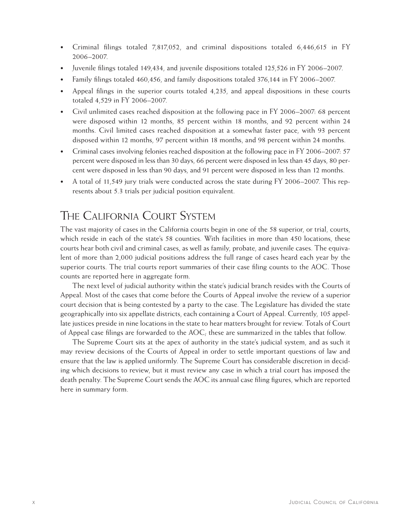- Criminal filings totaled 7,817,052, and criminal dispositions totaled 6,446,615 in FY 2006–2007.
- Juvenile filings totaled 149,434, and juvenile dispositions totaled 125,526 in FY 2006–2007.
- Family filings totaled 460,456, and family dispositions totaled 376,144 in FY 2006–2007.
- Appeal filings in the superior courts totaled 4,235, and appeal dispositions in these courts totaled 4,529 in FY 2006–2007.
- Civil unlimited cases reached disposition at the following pace in FY 2006–2007: 68 percent were disposed within 12 months, 85 percent within 18 months, and 92 percent within 24 months. Civil limited cases reached disposition at a somewhat faster pace, with 93 percent disposed within 12 months, 97 percent within 18 months, and 98 percent within 24 months.
- Criminal cases involving felonies reached disposition at the following pace in FY 2006–2007: 57 percent were disposed in less than 30 days, 66 percent were disposed in less than 45 days, 80 percent were disposed in less than 90 days, and 91 percent were disposed in less than 12 months.
- A total of 11,549 jury trials were conducted across the state during FY 2006–2007. This represents about 5.3 trials per judicial position equivalent.

## The California Court System

The vast majority of cases in the California courts begin in one of the 58 superior, or trial, courts, which reside in each of the state's 58 counties. With facilities in more than 450 locations, these courts hear both civil and criminal cases, as well as family, probate, and juvenile cases. The equivalent of more than 2,000 judicial positions address the full range of cases heard each year by the superior courts. The trial courts report summaries of their case filing counts to the AOC. Those counts are reported here in aggregate form.

The next level of judicial authority within the state's judicial branch resides with the Courts of Appeal. Most of the cases that come before the Courts of Appeal involve the review of a superior court decision that is being contested by a party to the case. The Legislature has divided the state geographically into six appellate districts, each containing a Court of Appeal. Currently, 105 appellate justices preside in nine locations in the state to hear matters brought for review. Totals of Court of Appeal case filings are forwarded to the AOC; these are summarized in the tables that follow.

The Supreme Court sits at the apex of authority in the state's judicial system, and as such it may review decisions of the Courts of Appeal in order to settle important questions of law and ensure that the law is applied uniformly. The Supreme Court has considerable discretion in deciding which decisions to review, but it must review any case in which a trial court has imposed the death penalty. The Supreme Court sends the AOC its annual case filing figures, which are reported here in summary form.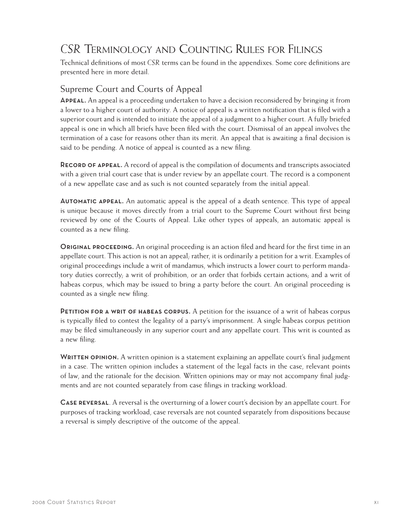# *CSR* Terminology and Counting Rules for Filings

Technical definitions of most *CSR* terms can be found in the appendixes. Some core definitions are presented here in more detail.

#### Supreme Court and Courts of Appeal

Appeal. An appeal is a proceeding undertaken to have a decision reconsidered by bringing it from a lower to a higher court of authority. A notice of appeal is a written notification that is filed with a superior court and is intended to initiate the appeal of a judgment to a higher court. A fully briefed appeal is one in which all briefs have been filed with the court. Dismissal of an appeal involves the termination of a case for reasons other than its merit. An appeal that is awaiting a final decision is said to be pending. A notice of appeal is counted as a new filing.

Record of appeal. A record of appeal is the compilation of documents and transcripts associated with a given trial court case that is under review by an appellate court. The record is a component of a new appellate case and as such is not counted separately from the initial appeal.

Automatic appeal. An automatic appeal is the appeal of a death sentence. This type of appeal is unique because it moves directly from a trial court to the Supreme Court without first being reviewed by one of the Courts of Appeal. Like other types of appeals, an automatic appeal is counted as a new filing.

**ORIGINAL PROCEEDING.** An original proceeding is an action filed and heard for the first time in an appellate court. This action is not an appeal, rather, it is ordinarily a petition for a writ. Examples of original proceedings include a writ of mandamus, which instructs a lower court to perform mandatory duties correctly; a writ of prohibition, or an order that forbids certain actions; and a writ of habeas corpus, which may be issued to bring a party before the court. An original proceeding is counted as a single new filing.

PETITION FOR A WRIT OF HABEAS CORPUS. A petition for the issuance of a writ of habeas corpus is typically filed to contest the legality of a party's imprisonment. A single habeas corpus petition may be filed simultaneously in any superior court and any appellate court. This writ is counted as a new filing.

WRITTEN OPINION. A written opinion is a statement explaining an appellate court's final judgment in a case. The written opinion includes a statement of the legal facts in the case, relevant points of law, and the rationale for the decision. Written opinions may or may not accompany final judgments and are not counted separately from case filings in tracking workload.

Case reversal. A reversal is the overturning of a lower court's decision by an appellate court. For purposes of tracking workload, case reversals are not counted separately from dispositions because a reversal is simply descriptive of the outcome of the appeal.